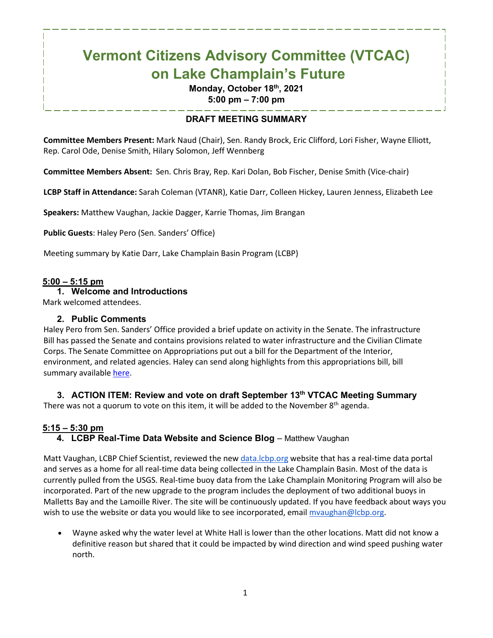# **Vermont Citizens Advisory Committee (VTCAC) on Lake Champlain's Future**

# **Monday, October 18th, 2021 5:00 pm – 7:00 pm**

# **DRAFT MEETING SUMMARY**

**Committee Members Present:** Mark Naud (Chair), Sen. Randy Brock, Eric Clifford, Lori Fisher, Wayne Elliott, Rep. Carol Ode, Denise Smith, Hilary Solomon, Jeff Wennberg

**Committee Members Absent:** Sen. Chris Bray, Rep. Kari Dolan, Bob Fischer, Denise Smith (Vice-chair)

**LCBP Staff in Attendance:** Sarah Coleman (VTANR), Katie Darr, Colleen Hickey, Lauren Jenness, Elizabeth Lee

**Speakers:** Matthew Vaughan, Jackie Dagger, Karrie Thomas, Jim Brangan

**Public Guests**: Haley Pero (Sen. Sanders' Office)

Meeting summary by Katie Darr, Lake Champlain Basin Program (LCBP)

### **5:00 – 5:15 pm**

**1. Welcome and Introductions**

Mark welcomed attendees.

#### **2. Public Comments**

Haley Pero from Sen. Sanders' Office provided a brief update on activity in the Senate. The infrastructure Bill has passed the Senate and contains provisions related to water infrastructure and the Civilian Climate Corps. The Senate Committee on Appropriations put out a bill for the Department of the Interior, environment, and related agencies. Haley can send along highlights from this appropriations bill, bill summary available [here.](https://www.appropriations.senate.gov/imo/media/doc/Interior.pdf)

### **3. ACTION ITEM: Review and vote on draft September 13th VTCAC Meeting Summary**

There was not a quorum to vote on this item, it will be added to the November  $8<sup>th</sup>$  agenda.

# **5:15 – 5:30 pm**

# 4. LCBP Real-Time Data Website and Science Blog - Matthew Vaughan

Matt Vaughan, LCBP Chief Scientist, reviewed the new data. lcbp.org website that has a real-time data portal and serves as a home for all real-time data being collected in the Lake Champlain Basin. Most of the data is currently pulled from the USGS. Real-time buoy data from the Lake Champlain Monitoring Program will also be incorporated. Part of the new upgrade to the program includes the deployment of two additional buoys in Malletts Bay and the Lamoille River. The site will be continuously updated. If you have feedback about ways you wish to use the website or data you would like to see incorporated, email myaughan@lcbp.org.

• Wayne asked why the water level at White Hall is lower than the other locations. Matt did not know a definitive reason but shared that it could be impacted by wind direction and wind speed pushing water north.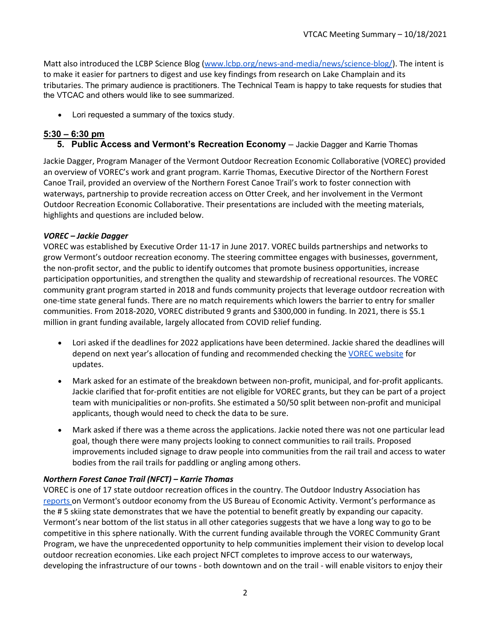Matt also introduced the LCBP Science Blog [\(www.lcbp.org/news-and-media/news/science-blog/\)](https://www.lcbp.org/news-and-media/news/science-blog/). The intent is to make it easier for partners to digest and use key findings from research on Lake Champlain and its tributaries. The primary audience is practitioners. The Technical Team is happy to take requests for studies that the VTCAC and others would like to see summarized.

• Lori requested a summary of the toxics study.

## **5:30 – 6:30 pm**

**5. Public Access and Vermont's Recreation Economy** – Jackie Dagger and Karrie Thomas

Jackie Dagger, Program Manager of the Vermont Outdoor Recreation Economic Collaborative (VOREC) provided an overview of VOREC's work and grant program. Karrie Thomas, Executive Director of the Northern Forest Canoe Trail, provided an overview of the Northern Forest Canoe Trail's work to foster connection with waterways, partnership to provide recreation access on Otter Creek, and her involvement in the Vermont Outdoor Recreation Economic Collaborative. Their presentations are included with the meeting materials, highlights and questions are included below.

#### *VOREC – Jackie Dagger*

VOREC was established by Executive Order 11-17 in June 2017. VOREC builds partnerships and networks to grow Vermont's outdoor recreation economy. The steering committee engages with businesses, government, the non-profit sector, and the public to identify outcomes that promote business opportunities, increase participation opportunities, and strengthen the quality and stewardship of recreational resources. The VOREC community grant program started in 2018 and funds community projects that leverage outdoor recreation with one-time state general funds. There are no match requirements which lowers the barrier to entry for smaller communities. From 2018-2020, VOREC distributed 9 grants and \$300,000 in funding. In 2021, there is \$5.1 million in grant funding available, largely allocated from COVID relief funding.

- Lori asked if the deadlines for 2022 applications have been determined. Jackie shared the deadlines will depend on next year's allocation of funding and recommended checking the [VOREC website](https://fpr.vermont.gov/VOREC) for updates.
- Mark asked for an estimate of the breakdown between non-profit, municipal, and for-profit applicants. Jackie clarified that for-profit entities are not eligible for VOREC grants, but they can be part of a project team with municipalities or non-profits. She estimated a 50/50 split between non-profit and municipal applicants, though would need to check the data to be sure.
- Mark asked if there was a theme across the applications. Jackie noted there was not one particular lead goal, though there were many projects looking to connect communities to rail trails. Proposed improvements included signage to draw people into communities from the rail trail and access to water bodies from the rail trails for paddling or angling among others.

### *Northern Forest Canoe Trail (NFCT) – Karrie Thomas*

VOREC is one of 17 state outdoor recreation offices in the country. The Outdoor Industry Association ha[s](https://linkprotect.cudasvc.com/url?a=https%3a%2f%2foutdoorindustry.org%2fstate%2fvermont%2f&c=E,1,HGswS3kFPzCvkP2v4X0HmP-0byAFTUu9gMEcGa7vdlxB1MF8SS10NaKrHuh2tGQs8wzn8JYA4x_s3wwtxrX510YN0ly6rJhnEGAlBB0pZHVcQ0qT8UcVxQ,,&typo=1) [reports](https://linkprotect.cudasvc.com/url?a=https%3a%2f%2foutdoorindustry.org%2fstate%2fvermont%2f&c=E,1,HGswS3kFPzCvkP2v4X0HmP-0byAFTUu9gMEcGa7vdlxB1MF8SS10NaKrHuh2tGQs8wzn8JYA4x_s3wwtxrX510YN0ly6rJhnEGAlBB0pZHVcQ0qT8UcVxQ,,&typo=1) on Vermont's outdoor economy from the US Bureau of Economic Activity. Vermont's performance as the # 5 skiing state demonstrates that we have the potential to benefit greatly by expanding our capacity. Vermont's near bottom of the list status in all other categories suggests that we have a long way to go to be competitive in this sphere nationally. With the current funding available through the VOREC Community Grant Program, we have the unprecedented opportunity to help communities implement their vision to develop local outdoor recreation economies. Like each project NFCT completes to improve access to our waterways, developing the infrastructure of our towns - both downtown and on the trail - will enable visitors to enjoy their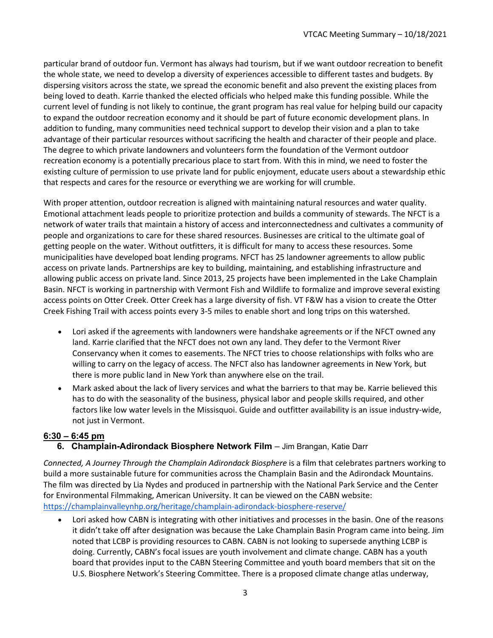particular brand of outdoor fun. Vermont has always had tourism, but if we want outdoor recreation to benefit the whole state, we need to develop a diversity of experiences accessible to different tastes and budgets. By dispersing visitors across the state, we spread the economic benefit and also prevent the existing places from being loved to death. Karrie thanked the elected officials who helped make this funding possible. While the current level of funding is not likely to continue, the grant program has real value for helping build our capacity to expand the outdoor recreation economy and it should be part of future economic development plans. In addition to funding, many communities need technical support to develop their vision and a plan to take advantage of their particular resources without sacrificing the health and character of their people and place. The degree to which private landowners and volunteers form the foundation of the Vermont outdoor recreation economy is a potentially precarious place to start from. With this in mind, we need to foster the existing culture of permission to use private land for public enjoyment, educate users about a stewardship ethic that respects and cares for the resource or everything we are working for will crumble.

With proper attention, outdoor recreation is aligned with maintaining natural resources and water quality. Emotional attachment leads people to prioritize protection and builds a community of stewards. The NFCT is a network of water trails that maintain a history of access and interconnectedness and cultivates a community of people and organizations to care for these shared resources. Businesses are critical to the ultimate goal of getting people on the water. Without outfitters, it is difficult for many to access these resources. Some municipalities have developed boat lending programs. NFCT has 25 landowner agreements to allow public access on private lands. Partnerships are key to building, maintaining, and establishing infrastructure and allowing public access on private land. Since 2013, 25 projects have been implemented in the Lake Champlain Basin. NFCT is working in partnership with Vermont Fish and Wildlife to formalize and improve several existing access points on Otter Creek. Otter Creek has a large diversity of fish. VT F&W has a vision to create the Otter Creek Fishing Trail with access points every 3-5 miles to enable short and long trips on this watershed.

- Lori asked if the agreements with landowners were handshake agreements or if the NFCT owned any land. Karrie clarified that the NFCT does not own any land. They defer to the Vermont River Conservancy when it comes to easements. The NFCT tries to choose relationships with folks who are willing to carry on the legacy of access. The NFCT also has landowner agreements in New York, but there is more public land in New York than anywhere else on the trail.
- Mark asked about the lack of livery services and what the barriers to that may be. Karrie believed this has to do with the seasonality of the business, physical labor and people skills required, and other factors like low water levels in the Missisquoi. Guide and outfitter availability is an issue industry-wide, not just in Vermont.

### **6:30 – 6:45 pm**

**6. Champlain-Adirondack Biosphere Network Film** – Jim Brangan, Katie Darr

*Connected, A Journey Through the Champlain Adirondack Biosphere* is a film that celebrates partners working to build a more sustainable future for communities across the Champlain Basin and the Adirondack Mountains. The film was directed by Lia Nydes and produced in partnership with the National Park Service and the Center for Environmental Filmmaking, American University. It can be viewed on the CABN website: <https://champlainvalleynhp.org/heritage/champlain-adirondack-biosphere-reserve/>

• Lori asked how CABN is integrating with other initiatives and processes in the basin. One of the reasons it didn't take off after designation was because the Lake Champlain Basin Program came into being. Jim noted that LCBP is providing resources to CABN. CABN is not looking to supersede anything LCBP is doing. Currently, CABN's focal issues are youth involvement and climate change. CABN has a youth board that provides input to the CABN Steering Committee and youth board members that sit on the U.S. Biosphere Network's Steering Committee. There is a proposed climate change atlas underway,